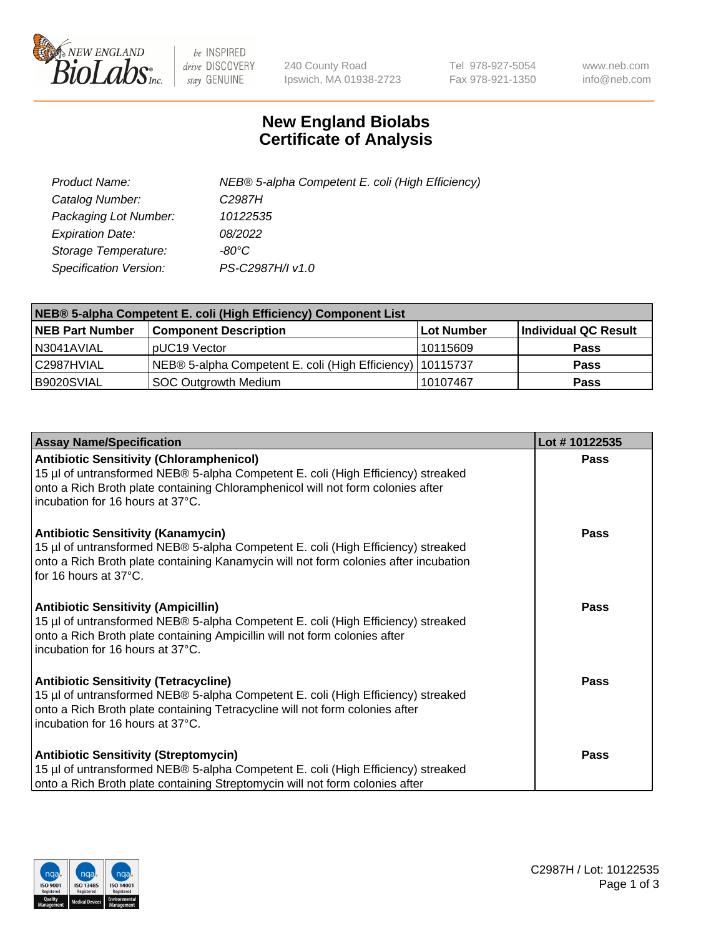

 $be$  INSPIRED drive DISCOVERY stay GENUINE

240 County Road Ipswich, MA 01938-2723 Tel 978-927-5054 Fax 978-921-1350 www.neb.com info@neb.com

## **New England Biolabs Certificate of Analysis**

| Product Name:           | NEB® 5-alpha Competent E. coli (High Efficiency) |
|-------------------------|--------------------------------------------------|
| Catalog Number:         | C <sub>2987</sub> H                              |
| Packaging Lot Number:   | 10122535                                         |
| <b>Expiration Date:</b> | 08/2022                                          |
| Storage Temperature:    | -80°C                                            |
| Specification Version:  | PS-C2987H/I v1.0                                 |

| NEB® 5-alpha Competent E. coli (High Efficiency) Component List |                                                             |            |                      |  |
|-----------------------------------------------------------------|-------------------------------------------------------------|------------|----------------------|--|
| <b>NEB Part Number</b>                                          | <b>Component Description</b>                                | Lot Number | Individual QC Result |  |
| N3041AVIAL                                                      | pUC19 Vector                                                | 10115609   | <b>Pass</b>          |  |
| C2987HVIAL                                                      | NEB® 5-alpha Competent E. coli (High Efficiency)   10115737 |            | <b>Pass</b>          |  |
| B9020SVIAL                                                      | <b>SOC Outgrowth Medium</b>                                 | 10107467   | <b>Pass</b>          |  |

| <b>Assay Name/Specification</b>                                                                                                                                                                                                                            | Lot #10122535 |
|------------------------------------------------------------------------------------------------------------------------------------------------------------------------------------------------------------------------------------------------------------|---------------|
| <b>Antibiotic Sensitivity (Chloramphenicol)</b><br>15 µl of untransformed NEB® 5-alpha Competent E. coli (High Efficiency) streaked<br>onto a Rich Broth plate containing Chloramphenicol will not form colonies after<br>incubation for 16 hours at 37°C. | <b>Pass</b>   |
| <b>Antibiotic Sensitivity (Kanamycin)</b><br>15 µl of untransformed NEB® 5-alpha Competent E. coli (High Efficiency) streaked<br>onto a Rich Broth plate containing Kanamycin will not form colonies after incubation<br>for 16 hours at 37°C.             | Pass          |
| <b>Antibiotic Sensitivity (Ampicillin)</b><br>15 µl of untransformed NEB® 5-alpha Competent E. coli (High Efficiency) streaked<br>onto a Rich Broth plate containing Ampicillin will not form colonies after<br>incubation for 16 hours at 37°C.           | <b>Pass</b>   |
| <b>Antibiotic Sensitivity (Tetracycline)</b><br>15 µl of untransformed NEB® 5-alpha Competent E. coli (High Efficiency) streaked<br>onto a Rich Broth plate containing Tetracycline will not form colonies after<br>incubation for 16 hours at 37°C.       | Pass          |
| <b>Antibiotic Sensitivity (Streptomycin)</b><br>15 µl of untransformed NEB® 5-alpha Competent E. coli (High Efficiency) streaked<br>onto a Rich Broth plate containing Streptomycin will not form colonies after                                           | Pass          |

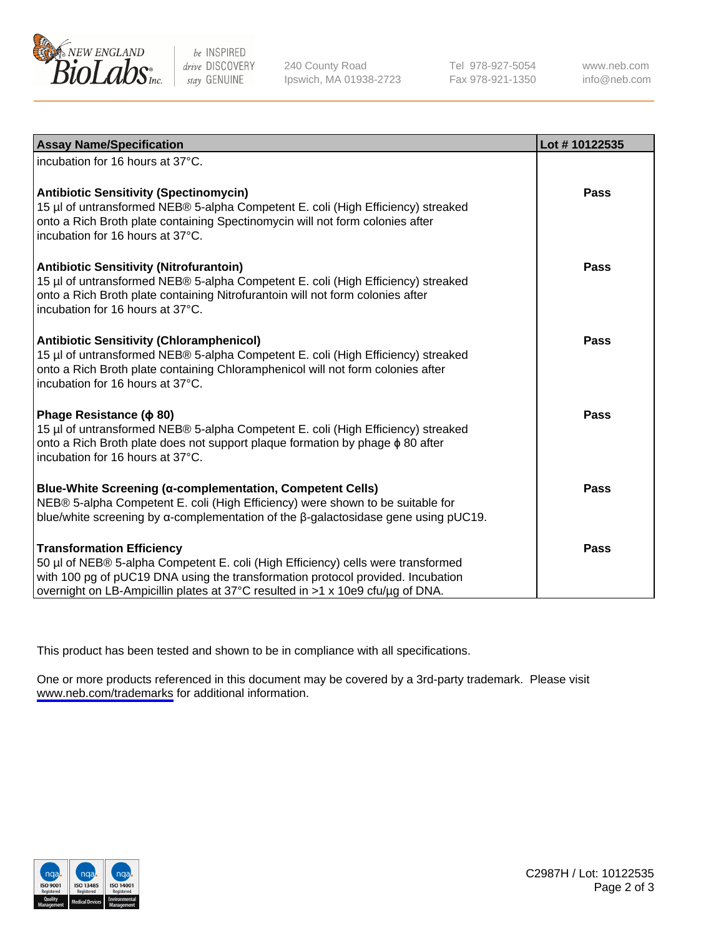

be INSPIRED drive DISCOVERY stay GENUINE

240 County Road Ipswich, MA 01938-2723 Tel 978-927-5054 Fax 978-921-1350

www.neb.com info@neb.com

| <b>Assay Name/Specification</b>                                                                                                                                                                                                                                                           | Lot #10122535 |
|-------------------------------------------------------------------------------------------------------------------------------------------------------------------------------------------------------------------------------------------------------------------------------------------|---------------|
| incubation for 16 hours at 37°C.                                                                                                                                                                                                                                                          |               |
| <b>Antibiotic Sensitivity (Spectinomycin)</b><br>15 µl of untransformed NEB® 5-alpha Competent E. coli (High Efficiency) streaked<br>onto a Rich Broth plate containing Spectinomycin will not form colonies after<br>incubation for 16 hours at 37°C.                                    | <b>Pass</b>   |
| <b>Antibiotic Sensitivity (Nitrofurantoin)</b><br>15 µl of untransformed NEB® 5-alpha Competent E. coli (High Efficiency) streaked<br>onto a Rich Broth plate containing Nitrofurantoin will not form colonies after<br>incubation for 16 hours at 37°C.                                  | Pass          |
| <b>Antibiotic Sensitivity (Chloramphenicol)</b><br>15 µl of untransformed NEB® 5-alpha Competent E. coli (High Efficiency) streaked<br>onto a Rich Broth plate containing Chloramphenicol will not form colonies after<br>incubation for 16 hours at 37°C.                                | Pass          |
| Phage Resistance ( $\phi$ 80)<br>15 µl of untransformed NEB® 5-alpha Competent E. coli (High Efficiency) streaked<br>onto a Rich Broth plate does not support plaque formation by phage $\phi$ 80 after<br>incubation for 16 hours at 37°C.                                               | Pass          |
| <b>Blue-White Screening (α-complementation, Competent Cells)</b><br>NEB® 5-alpha Competent E. coli (High Efficiency) were shown to be suitable for<br>blue/white screening by $\alpha$ -complementation of the $\beta$ -galactosidase gene using pUC19.                                   | Pass          |
| <b>Transformation Efficiency</b><br>50 µl of NEB® 5-alpha Competent E. coli (High Efficiency) cells were transformed<br>with 100 pg of pUC19 DNA using the transformation protocol provided. Incubation<br>overnight on LB-Ampicillin plates at 37°C resulted in >1 x 10e9 cfu/µg of DNA. | <b>Pass</b>   |

This product has been tested and shown to be in compliance with all specifications.

One or more products referenced in this document may be covered by a 3rd-party trademark. Please visit <www.neb.com/trademarks>for additional information.